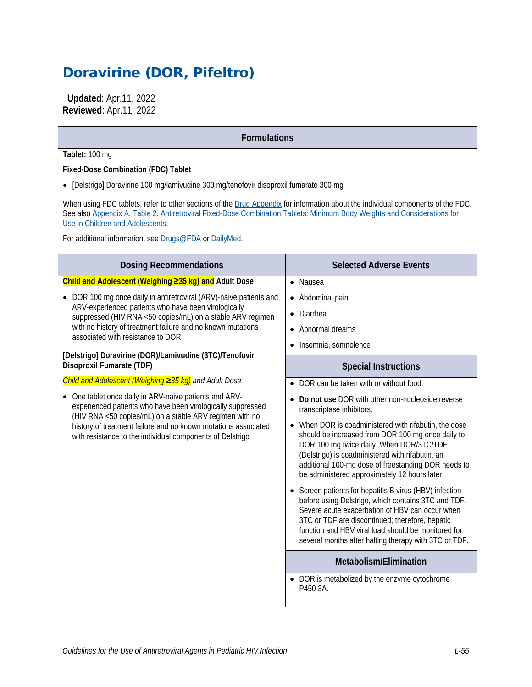# Doravirine (DOR, Pifeltro)

 **Updated**: Apr.11, 2022 **Reviewed**: Apr.11, 2022

| <b>Formulations</b>                                                                                                                                                                                                                                                                                                                                                                                                                                                                                                                                                                                                                                                                                                                                                                                                   |                                                                                                                                                                                                                                                                                                                                                                                                                                                                                                                                                                                                                                                                                                                                                                                                                                                                                                                                             |
|-----------------------------------------------------------------------------------------------------------------------------------------------------------------------------------------------------------------------------------------------------------------------------------------------------------------------------------------------------------------------------------------------------------------------------------------------------------------------------------------------------------------------------------------------------------------------------------------------------------------------------------------------------------------------------------------------------------------------------------------------------------------------------------------------------------------------|---------------------------------------------------------------------------------------------------------------------------------------------------------------------------------------------------------------------------------------------------------------------------------------------------------------------------------------------------------------------------------------------------------------------------------------------------------------------------------------------------------------------------------------------------------------------------------------------------------------------------------------------------------------------------------------------------------------------------------------------------------------------------------------------------------------------------------------------------------------------------------------------------------------------------------------------|
| Tablet: 100 mg<br>Fixed-Dose Combination (FDC) Tablet<br>• [Delstrigo] Doravirine 100 mg/lamivudine 300 mg/tenofovir disoproxil fumarate 300 mg<br>When using FDC tablets, refer to other sections of the Drug Appendix for information about the individual components of the FDC.<br>See also Appendix A, Table 2. Antiretroviral Fixed-Dose Combination Tablets: Minimum Body Weights and Considerations for<br>Use in Children and Adolescents.<br>For additional information, see Drugs@FDA or DailyMed.                                                                                                                                                                                                                                                                                                         |                                                                                                                                                                                                                                                                                                                                                                                                                                                                                                                                                                                                                                                                                                                                                                                                                                                                                                                                             |
| <b>Dosing Recommendations</b>                                                                                                                                                                                                                                                                                                                                                                                                                                                                                                                                                                                                                                                                                                                                                                                         | <b>Selected Adverse Events</b>                                                                                                                                                                                                                                                                                                                                                                                                                                                                                                                                                                                                                                                                                                                                                                                                                                                                                                              |
| Child and Adolescent (Weighing ≥35 kg) and Adult Dose<br>DOR 100 mg once daily in antiretroviral (ARV)-naive patients and<br>ARV-experienced patients who have been virologically<br>suppressed (HIV RNA <50 copies/mL) on a stable ARV regimen<br>with no history of treatment failure and no known mutations<br>associated with resistance to DOR<br>[Delstrigo] Doravirine (DOR)/Lamivudine (3TC)/Tenofovir<br>Disoproxil Fumarate (TDF)<br>Child and Adolescent (Weighing ≥35 kg) and Adult Dose<br>One tablet once daily in ARV-naive patients and ARV-<br>experienced patients who have been virologically suppressed<br>(HIV RNA <50 copies/mL) on a stable ARV regimen with no<br>history of treatment failure and no known mutations associated<br>with resistance to the individual components of Delstrigo | • Nausea<br>Abdominal pain<br>Diarrhea<br>$\bullet$<br>Abnormal dreams<br>$\bullet$<br>Insomnia, somnolence<br>$\bullet$<br><b>Special Instructions</b><br>DOR can be taken with or without food.<br>Do not use DOR with other non-nucleoside reverse<br>transcriptase inhibitors.<br>When DOR is coadministered with rifabutin, the dose<br>should be increased from DOR 100 mg once daily to<br>DOR 100 mg twice daily. When DOR/3TC/TDF<br>(Delstrigo) is coadministered with rifabutin, an<br>additional 100-mg dose of freestanding DOR needs to<br>be administered approximately 12 hours later.<br>Screen patients for hepatitis B virus (HBV) infection<br>before using Delstrigo, which contains 3TC and TDF<br>Severe acute exacerbation of HBV can occur when<br>3TC or TDF are discontinued; therefore, hepatic<br>function and HBV viral load should be monitored for<br>several months after halting therapy with 3TC or TDF. |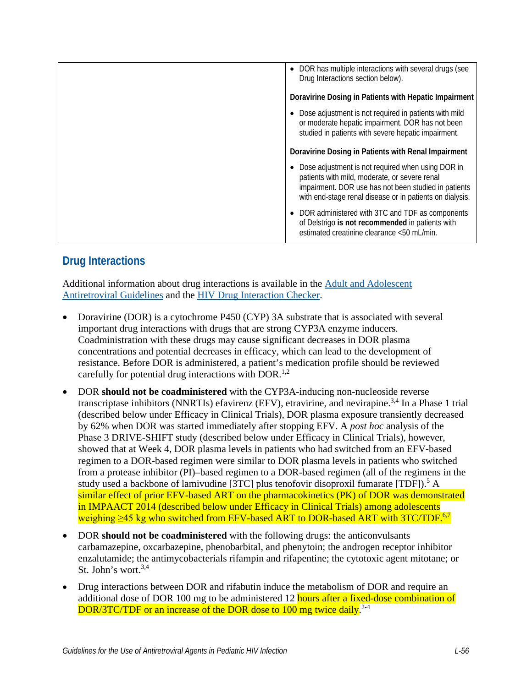| • DOR has multiple interactions with several drugs (see<br>Drug Interactions section below).                                                                                                                           |
|------------------------------------------------------------------------------------------------------------------------------------------------------------------------------------------------------------------------|
| Doravirine Dosing in Patients with Hepatic Impairment                                                                                                                                                                  |
| Dose adjustment is not required in patients with mild<br>or moderate hepatic impairment. DOR has not been<br>studied in patients with severe hepatic impairment.                                                       |
| Doravirine Dosing in Patients with Renal Impairment                                                                                                                                                                    |
| Dose adjustment is not required when using DOR in<br>patients with mild, moderate, or severe renal<br>impairment. DOR use has not been studied in patients<br>with end-stage renal disease or in patients on dialysis. |
| DOR administered with 3TC and TDF as components<br>of Delstrigo is not recommended in patients with<br>estimated creatinine clearance <50 mL/min.                                                                      |

# **Drug Interactions**

Additional information about drug interactions is available in the [Adult and Adolescent](https://clinicalinfo.hiv.gov/en/guidelines/adult-and-adolescent-arv/whats-new-guidelines)  [Antiretroviral Guidelines](https://clinicalinfo.hiv.gov/en/guidelines/adult-and-adolescent-arv/whats-new-guidelines) and the [HIV Drug Interaction Checker.](http://www.hiv-druginteractions.org/)

- Doravirine (DOR) is a cytochrome P450 (CYP) 3A substrate that is associated with several important drug interactions with drugs that are strong CYP3A enzyme inducers. Coadministration with these drugs may cause significant decreases in DOR plasma concentrations and potential decreases in efficacy, which can lead to the development of resistance. Before DOR is administered, a patient's medication profile should be reviewed carefully for potential drug interactions with DOR.<sup>[1,](#page-5-0)[2](#page-5-1)</sup>
- DOR **should not be coadministered** with the CYP3A-inducing non-nucleoside reverse transcriptase inhibitors (NNRTIs) efavirenz (EFV), etravirine, and nevirapine.<sup>3,[4](#page-5-3)</sup> In a Phase 1 trial (described below under Efficacy in Clinical Trials), DOR plasma exposure transiently decreased by 62% when DOR was started immediately after stopping EFV. A *post hoc* analysis of the Phase 3 DRIVE-SHIFT study (described below under Efficacy in Clinical Trials), however, showed that at Week 4, DOR plasma levels in patients who had switched from an EFV-based regimen to a DOR-based regimen were similar to DOR plasma levels in patients who switched from a protease inhibitor (PI)–based regimen to a DOR-based regimen (all of the regimens in the study used a backbone of lamivudine [3TC] plus tenofovir disoproxil fumarate [TDF]).<sup>[5](#page-5-4)</sup> A similar effect of prior EFV-based ART on the pharmacokinetics (PK) of DOR was demonstrated in IMPAACT 2014 (described below under Efficacy in Clinical Trials) among adolescents weighing  $\geq$ 45 kg who switched from EFV-based ART to DOR-based ART with 3TC/TDF.<sup>6[,7](#page-5-6)</sup>
- DOR **should not be coadministered** with the following drugs: the anticonvulsants carbamazepine, oxcarbazepine, phenobarbital, and phenytoin; the androgen receptor inhibitor enzalutamide; the antimycobacterials rifampin and rifapentine; the cytotoxic agent mitotane; or St. John's wort.<sup>3,[4](#page-5-3)</sup>
- Drug interactions between DOR and rifabutin induce the metabolism of DOR and require an additional dose of DOR 100 mg to be administered 12 hours after a fixed-dose combination of DOR/3TC/TDF or an increase of the DOR dose to 100 mg twice daily.<sup>2-4</sup>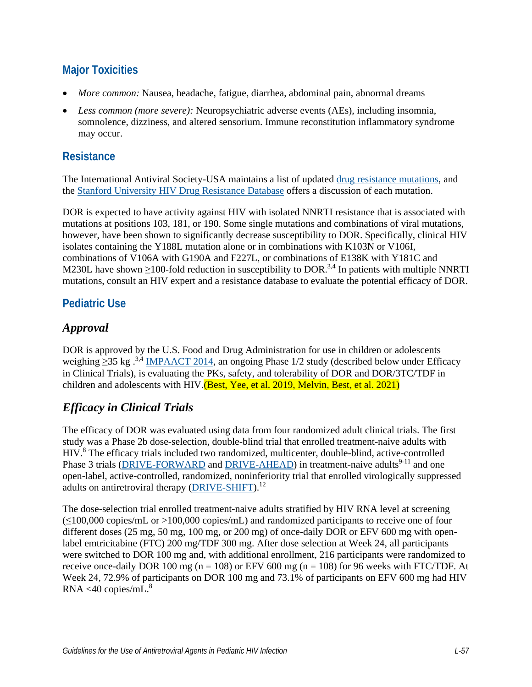## **Major Toxicities**

- *More common:* Nausea, headache, fatigue, diarrhea, abdominal pain, abnormal dreams
- *Less common (more severe):* Neuropsychiatric adverse events (AEs), including insomnia, somnolence, dizziness, and altered sensorium. Immune reconstitution inflammatory syndrome may occur.

#### **Resistance**

The International Antiviral Society-USA maintains a list of updated [drug resistance mutations,](https://www.iasusa.org/resources/hiv-drug-resistance-mutations/) and the [Stanford University HIV Drug Resistance Database](http://hivdb.stanford.edu/DR/) offers a discussion of each mutation.

DOR is expected to have activity against HIV with isolated NNRTI resistance that is associated with mutations at positions 103, 181, or 190. Some single mutations and combinations of viral mutations, however, have been shown to significantly decrease susceptibility to DOR. Specifically, clinical HIV isolates containing the Y188L mutation alone or in combinations with K103N or V106I, combinations of V106A with G190A and F227L, or combinations of E138K with Y181C and M230L have shown  $\geq$ 100-fold reduction in susceptibility to DOR.<sup>[3,](#page-5-2)[4](#page-5-3)</sup> In patients with multiple NNRTI mutations, consult an HIV expert and a resistance database to evaluate the potential efficacy of DOR.

### **Pediatric Use**

### *Approval*

DOR is approved by the U.S. Food and Drug Administration for use in children or adolescents weighing  $\geq$ 35 kg .<sup>3,[4](#page-5-3)</sup> [IMPAACT 2014,](https://clinicaltrials.gov/ct2/show/NCT03332095?term=doravirine&draw=1&rank=10) an ongoing Phase 1/2 study (described below under Efficacy in Clinical Trials), is evaluating the PKs, safety, and tolerability of DOR and DOR/3TC/TDF in children and adolescents with HIV. (Best, Yee, et al. 2019, [Melvin, Best, et al. 2021\)](#page-5-7)

## *Efficacy in Clinical Trials*

The efficacy of DOR was evaluated using data from four randomized adult clinical trials. The first study was a Phase 2b dose-selection, double-blind trial that enrolled treatment-naive adults with HIV.<sup>[8](#page-5-8)</sup> The efficacy trials included two randomized, multicenter, double-blind, active-controlled Phase 3 trials [\(DRIVE-FORWARD](https://clinicaltrials.gov/ct2/show/NCT02275780) and [DRIVE-AHEAD\)](https://clinicaltrials.gov/ct2/show/NCT02403674) in treatment-naive adults<sup>9-11</sup> and one open-label, active-controlled, randomized, noninferiority trial that enrolled virologically suppressed adults on antiretroviral therapy [\(DRIVE-SHIFT\)](https://clinicaltrials.gov/ct2/show/NCT02403674).<sup>12</sup>

The dose-selection trial enrolled treatment-naive adults stratified by HIV RNA level at screening  $(\leq 100,000 \text{ copies/mL})$  or  $> 100,000 \text{ copies/mL})$  and randomized participants to receive one of four different doses (25 mg, 50 mg, 100 mg, or 200 mg) of once-daily DOR or EFV 600 mg with openlabel emtricitabine (FTC) 200 mg/TDF 300 mg. After dose selection at Week 24, all participants were switched to DOR 100 mg and, with additional enrollment, 216 participants were randomized to receive once-daily DOR 100 mg ( $n = 108$ ) or EFV 600 mg ( $n = 108$ ) for 96 weeks with FTC/TDF. At Week 24, 72.9% of participants on DOR 100 mg and 73.1% of participants on EFV 600 mg had HIV  $RNA < 40$  copies/mL. $8$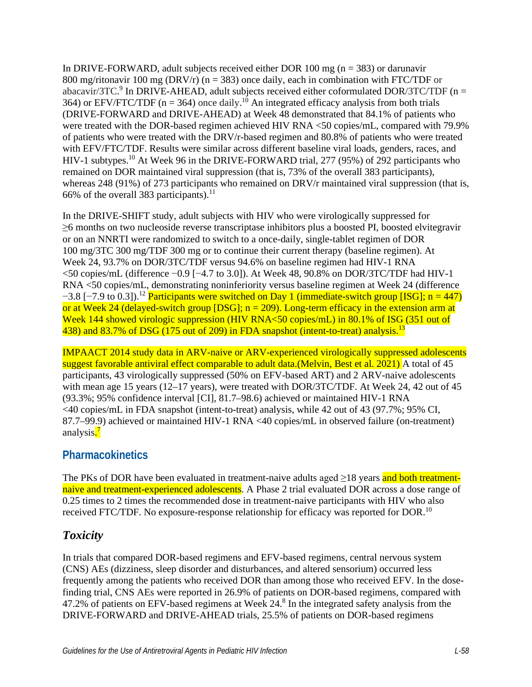In DRIVE-FORWARD, adult subjects received either DOR 100 mg ( $n = 383$ ) or darunavir 800 mg/ritonavir 100 mg (DRV/r) ( $n = 383$ ) once daily, each in combination with FTC/TDF or abacavir/3TC[.](#page-5-9)<sup>9</sup> In DRIVE-AHEAD, adult subjects received either coformulated DOR/3TC/TDF (n = 364) or EFV/FTC/TDF ( $n = 364$ ) once daily.<sup>10</sup> An integrated efficacy analysis from both trials (DRIVE-FORWARD and DRIVE-AHEAD) at Week 48 demonstrated that 84.1% of patients who were treated with the DOR-based regimen achieved HIV RNA <50 copies/mL, compared with 79.9% of patients who were treated with the DRV/r-based regimen and 80.8% of patients who were treated with EFV/FTC/TDF. Results were similar across different baseline viral loads, genders, races, and HIV-1 subtypes[.10](#page-5-7) At Week 96 in the DRIVE-FORWARD trial, 277 (95%) of 292 participants who remained on DOR maintained viral suppression (that is, 73% of the overall 383 participants), whereas 248 (91%) of 273 participants who remained on DRV/r maintained viral suppression (that is, 66% of the overall 383 participants).<sup>[11](#page-6-1)</sup>

In the DRIVE-SHIFT study, adult subjects with HIV who were virologically suppressed for ≥6 months on two nucleoside reverse transcriptase inhibitors plus a boosted PI, boosted elvitegravir or on an NNRTI were randomized to switch to a once-daily, single-tablet regimen of DOR 100 mg/3TC 300 mg/TDF 300 mg or to continue their current therapy (baseline regimen). At Week 24, 93.7% on DOR/3TC/TDF versus 94.6% on baseline regimen had HIV-1 RNA <50 copies/mL (difference −0.9 [−4.7 to 3.0]). At Week 48, 90.8% on DOR/3TC/TDF had HIV-1 RNA <50 copies/mL, demonstrating noninferiority versus baseline regimen at Week 24 (difference  $-3.8$  [-7.9 to 0.3]).<sup>12</sup> Participants were switched on Day 1 (immediate-switch group [ISG]; n = 447) or at Week 24 (delayed-switch group [DSG];  $n = 209$ ). Long-term efficacy in the extension arm at Week 144 showed virologic suppression (HIV RNA<50 copies/mL) in 80.1% of ISG (351 out of 438) and 83.7% of DSG (175 out of 209) in FDA snapshot (intent-to-treat) analysis.<sup>13</sup>

IMPAACT 2014 study data in ARV-naive or ARV-experienced virologically suppressed adolescents suggest favorable antiviral effect comparable to adult data.(Melvin, Best et al. 2021) A total of 45 participants, 43 virologically suppressed (50% on EFV-based ART) and 2 ARV-naive adolescents with mean age 15 years (12–17 years), were treated with DOR/3TC/TDF. At Week 24, 42 out of 45 (93.3%; 95% confidence interval [CI], 81.7–98.6) achieved or maintained HIV-1 RNA <40 copies/mL in FDA snapshot (intent-to-treat) analysis, while 42 out of 43 (97.7%; 95% CI, 87.7–99.9) achieved or maintained HIV-1 RNA <40 copies/mL in observed failure (on-treatment) analysis.<sup>7</sup>

#### **Pharmacokinetics**

The PKs of DOR have been evaluated in treatment-naive adults aged >18 years and both treatmentnaive and treatment-experienced adolescents. A Phase 2 trial evaluated DOR across a dose range of 0.25 times to 2 times the recommended dose in treatment-naive participants with HIV who also received FTC/TDF. No exposure-response relationship for efficacy was reported for DOR.<sup>10</sup>

#### *Toxicity*

In trials that compared DOR-based regimens and EFV-based regimens, central nervous system (CNS) AEs (dizziness, sleep disorder and disturbances, and altered sensorium) occurred less frequently among the patients who received DOR than among those who received EFV. In the dosefinding trial, CNS AEs were reported in 26.9% of patients on DOR-based regimens, compared with 47.2% of patients on EFV-based regimens at Week  $24.8$  $24.8$  In the integrated safety analysis from the DRIVE-FORWARD and DRIVE-AHEAD trials, 25.5% of patients on DOR-based regimens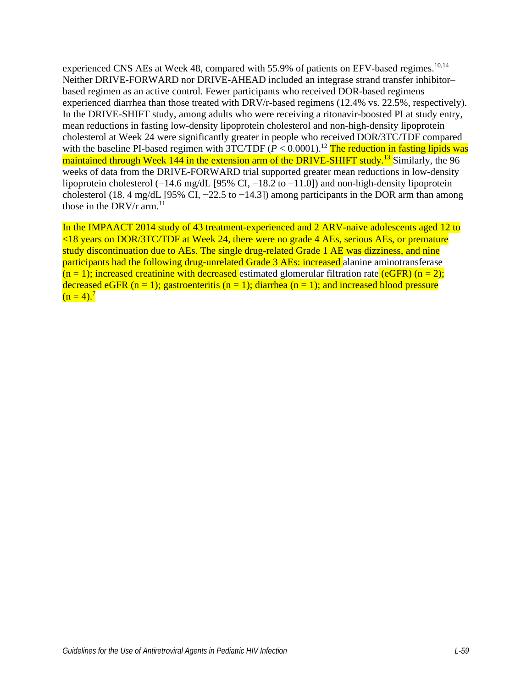experienced CNS AEs at Week 48, compared with 55.9% of patients on EFV-based regimes.<sup>10,[14](#page-6-3)</sup> Neither DRIVE-FORWARD nor DRIVE-AHEAD included an integrase strand transfer inhibitor– based regimen as an active control. Fewer participants who received DOR-based regimens experienced diarrhea than those treated with DRV/r-based regimens (12.4% vs. 22.5%, respectively). In the DRIVE-SHIFT study, among adults who were receiving a ritonavir-boosted PI at study entry, mean reductions in fasting low-density lipoprotein cholesterol and non-high-density lipoprotein cholesterol at Week 24 were significantly greater in people who received DOR/3TC/TDF compared with the baseline PI-based regimen with 3TC/TDF  $(P < 0.0001)$ .<sup>12</sup> The reduction in fasting lipids was maintained through Week 144 in the extension arm of the DRIVE-SHIFT study.<sup>[13](#page-6-2)</sup> Similarly, the 96 weeks of data from the DRIVE-FORWARD trial supported greater mean reductions in low-density lipoprotein cholesterol (−14.6 mg/dL [95% CI, −18.2 to −11.0]) and non-high-density lipoprotein cholesterol (18. 4 mg/dL [95% CI,  $-22.5$  to  $-14.3$ ]) among participants in the DOR arm than among those in the DRV/r  $arm.<sup>11</sup>$ 

In the IMPAACT 2014 study of 43 treatment-experienced and 2 ARV-naive adolescents aged 12 to <18 years on DOR/3TC/TDF at Week 24, there were no grade 4 AEs, serious AEs, or premature study discontinuation due to AEs. The single drug-related Grade 1 AE was dizziness, and nine participants had the following drug-unrelated Grade 3 AEs: increased alanine aminotransferase  $(n = 1)$ ; increased creatinine with decreased estimated glomerular filtration rate (eGFR) (n = 2); decreased eGFR (n = 1); gastroenteritis (n = 1); diarrhea (n = 1); and increased blood pressure  $(n = 4)^7$  $(n = 4)^7$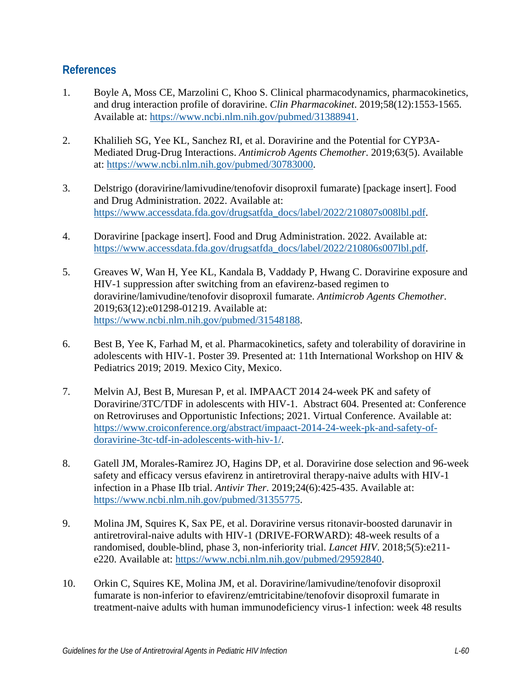#### **References**

- <span id="page-5-0"></span>1. Boyle A, Moss CE, Marzolini C, Khoo S. Clinical pharmacodynamics, pharmacokinetics, and drug interaction profile of doravirine. *Clin Pharmacokinet*. 2019;58(12):1553-1565. Available at: [https://www.ncbi.nlm.nih.gov/pubmed/31388941.](https://www.ncbi.nlm.nih.gov/pubmed/31388941)
- <span id="page-5-1"></span>2. Khalilieh SG, Yee KL, Sanchez RI, et al. Doravirine and the Potential for CYP3A-Mediated Drug-Drug Interactions. *Antimicrob Agents Chemother*. 2019;63(5). Available at: [https://www.ncbi.nlm.nih.gov/pubmed/30783000.](https://www.ncbi.nlm.nih.gov/pubmed/30783000)
- <span id="page-5-2"></span>3. Delstrigo (doravirine/lamivudine/tenofovir disoproxil fumarate) [package insert]. Food and Drug Administration. 2022. Available at: [https://www.accessdata.fda.gov/drugsatfda\\_docs/label/2022/210807s008lbl.pdf.](https://www.accessdata.fda.gov/drugsatfda_docs/label/2022/210807s008lbl.pdf)
- <span id="page-5-3"></span>4. Doravirine [package insert]. Food and Drug Administration. 2022. Available at: [https://www.accessdata.fda.gov/drugsatfda\\_docs/label/2022/210806s007lbl.pdf.](https://www.accessdata.fda.gov/drugsatfda_docs/label/2022/210806s007lbl.pdf)
- <span id="page-5-4"></span>5. Greaves W, Wan H, Yee KL, Kandala B, Vaddady P, Hwang C. Doravirine exposure and HIV-1 suppression after switching from an efavirenz-based regimen to doravirine/lamivudine/tenofovir disoproxil fumarate. *Antimicrob Agents Chemother*. 2019;63(12):e01298-01219. Available at: [https://www.ncbi.nlm.nih.gov/pubmed/31548188.](https://www.ncbi.nlm.nih.gov/pubmed/31548188)
- <span id="page-5-5"></span>6. Best B, Yee K, Farhad M, et al. Pharmacokinetics, safety and tolerability of doravirine in adolescents with HIV-1. Poster 39. Presented at: 11th International Workshop on HIV & Pediatrics 2019; 2019. Mexico City, Mexico.
- <span id="page-5-6"></span>7. Melvin AJ, Best B, Muresan P, et al. IMPAACT 2014 24-week PK and safety of Doravirine/3TC/TDF in adolescents with HIV-1. Abstract 604. Presented at: Conference on Retroviruses and Opportunistic Infections; 2021. Virtual Conference. Available at: [https://www.croiconference.org/abstract/impaact-2014-24-week-pk-and-safety-of](https://www.croiconference.org/abstract/impaact-2014-24-week-pk-and-safety-of-doravirine-3tc-tdf-in-adolescents-with-hiv-1/)[doravirine-3tc-tdf-in-adolescents-with-hiv-1/.](https://www.croiconference.org/abstract/impaact-2014-24-week-pk-and-safety-of-doravirine-3tc-tdf-in-adolescents-with-hiv-1/)
- <span id="page-5-8"></span>8. Gatell JM, Morales-Ramirez JO, Hagins DP, et al. Doravirine dose selection and 96-week safety and efficacy versus efavirenz in antiretroviral therapy-naive adults with HIV-1 infection in a Phase IIb trial. *Antivir Ther*. 2019;24(6):425-435. Available at: [https://www.ncbi.nlm.nih.gov/pubmed/31355775.](https://www.ncbi.nlm.nih.gov/pubmed/31355775)
- <span id="page-5-9"></span>9. Molina JM, Squires K, Sax PE, et al. Doravirine versus ritonavir-boosted darunavir in antiretroviral-naive adults with HIV-1 (DRIVE-FORWARD): 48-week results of a randomised, double-blind, phase 3, non-inferiority trial. *Lancet HIV*. 2018;5(5):e211 e220. Available at: [https://www.ncbi.nlm.nih.gov/pubmed/29592840.](https://www.ncbi.nlm.nih.gov/pubmed/29592840)
- <span id="page-5-7"></span>10. Orkin C, Squires KE, Molina JM, et al. Doravirine/lamivudine/tenofovir disoproxil fumarate is non-inferior to efavirenz/emtricitabine/tenofovir disoproxil fumarate in treatment-naive adults with human immunodeficiency virus-1 infection: week 48 results